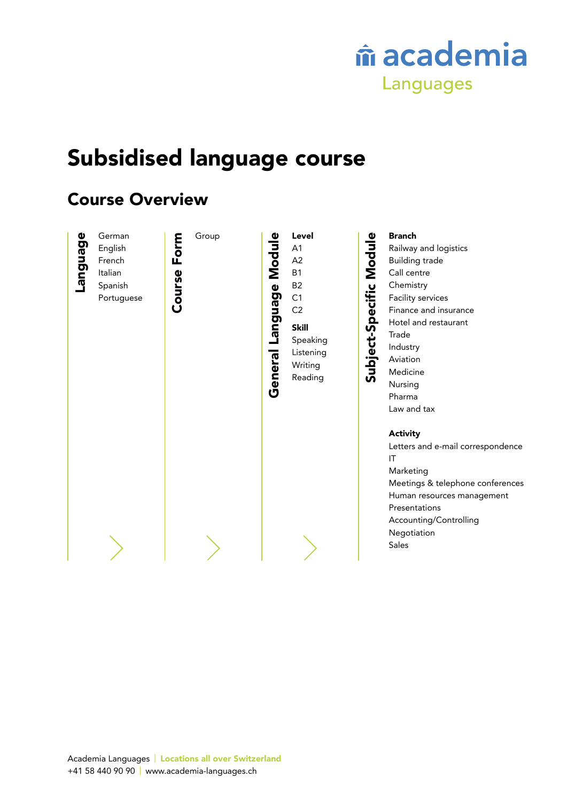

# Subsidised language course

# Course Overview